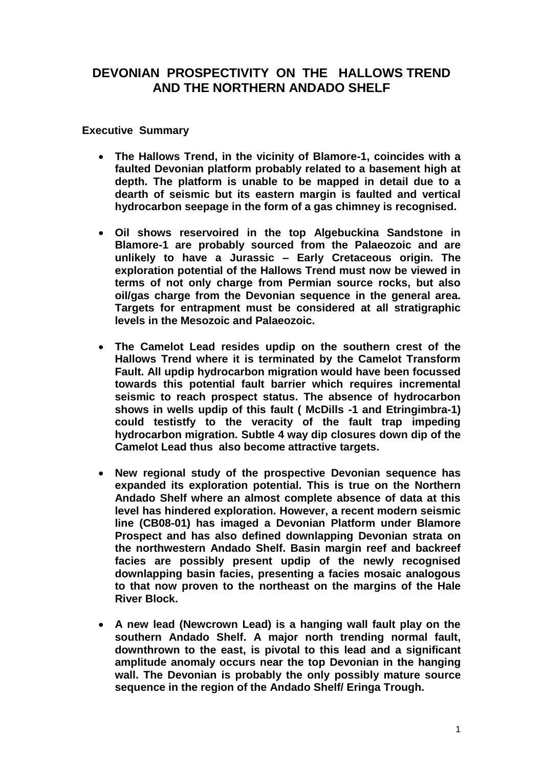## **DEVONIAN PROSPECTIVITY ON THE HALLOWS TREND AND THE NORTHERN ANDADO SHELF**

### **Executive Summary**

- **The Hallows Trend, in the vicinity of Blamore-1, coincides with a faulted Devonian platform probably related to a basement high at depth. The platform is unable to be mapped in detail due to a dearth of seismic but its eastern margin is faulted and vertical hydrocarbon seepage in the form of a gas chimney is recognised.**
- **Oil shows reservoired in the top Algebuckina Sandstone in Blamore-1 are probably sourced from the Palaeozoic and are unlikely to have a Jurassic – Early Cretaceous origin. The exploration potential of the Hallows Trend must now be viewed in terms of not only charge from Permian source rocks, but also oil/gas charge from the Devonian sequence in the general area. Targets for entrapment must be considered at all stratigraphic levels in the Mesozoic and Palaeozoic.**
- **The Camelot Lead resides updip on the southern crest of the Hallows Trend where it is terminated by the Camelot Transform Fault. All updip hydrocarbon migration would have been focussed towards this potential fault barrier which requires incremental seismic to reach prospect status. The absence of hydrocarbon shows in wells updip of this fault ( McDills -1 and Etringimbra-1)**  could testistfy to the veracity of the fault trap impeding **hydrocarbon migration. Subtle 4 way dip closures down dip of the Camelot Lead thus also become attractive targets.**
- **New regional study of the prospective Devonian sequence has expanded its exploration potential. This is true on the Northern Andado Shelf where an almost complete absence of data at this level has hindered exploration. However, a recent modern seismic line (CB08-01) has imaged a Devonian Platform under Blamore Prospect and has also defined downlapping Devonian strata on the northwestern Andado Shelf. Basin margin reef and backreef facies are possibly present updip of the newly recognised downlapping basin facies, presenting a facies mosaic analogous to that now proven to the northeast on the margins of the Hale River Block.**
- **A new lead (Newcrown Lead) is a hanging wall fault play on the southern Andado Shelf. A major north trending normal fault, downthrown to the east, is pivotal to this lead and a significant amplitude anomaly occurs near the top Devonian in the hanging wall. The Devonian is probably the only possibly mature source sequence in the region of the Andado Shelf/ Eringa Trough.**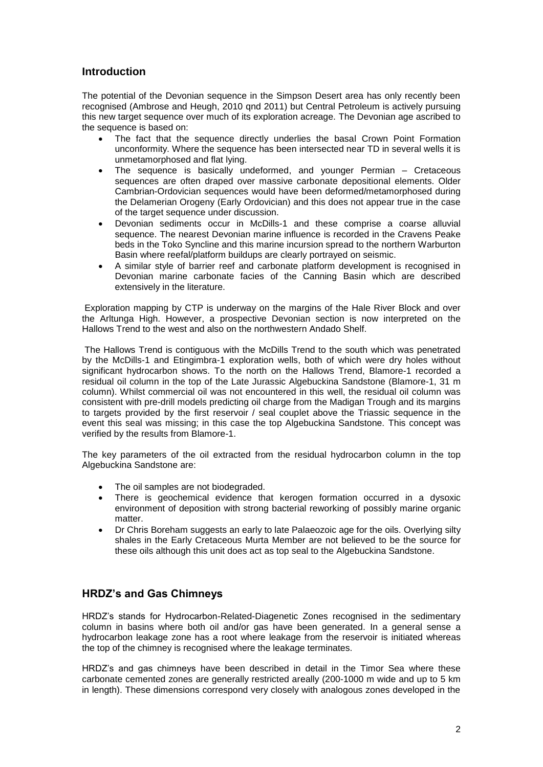### **Introduction**

The potential of the Devonian sequence in the Simpson Desert area has only recently been recognised (Ambrose and Heugh, 2010 qnd 2011) but Central Petroleum is actively pursuing this new target sequence over much of its exploration acreage. The Devonian age ascribed to the sequence is based on:

- The fact that the sequence directly underlies the basal Crown Point Formation unconformity. Where the sequence has been intersected near TD in several wells it is unmetamorphosed and flat lying.
- The sequence is basically undeformed, and younger Permian Cretaceous sequences are often draped over massive carbonate depositional elements. Older Cambrian-Ordovician sequences would have been deformed/metamorphosed during the Delamerian Orogeny (Early Ordovician) and this does not appear true in the case of the target sequence under discussion.
- Devonian sediments occur in McDills-1 and these comprise a coarse alluvial sequence. The nearest Devonian marine influence is recorded in the Cravens Peake beds in the Toko Syncline and this marine incursion spread to the northern Warburton Basin where reefal/platform buildups are clearly portrayed on seismic.
- A similar style of barrier reef and carbonate platform development is recognised in Devonian marine carbonate facies of the Canning Basin which are described extensively in the literature.

Exploration mapping by CTP is underway on the margins of the Hale River Block and over the Arltunga High. However, a prospective Devonian section is now interpreted on the Hallows Trend to the west and also on the northwestern Andado Shelf.

The Hallows Trend is contiguous with the McDills Trend to the south which was penetrated by the McDills-1 and Etingimbra-1 exploration wells, both of which were dry holes without significant hydrocarbon shows. To the north on the Hallows Trend, Blamore-1 recorded a residual oil column in the top of the Late Jurassic Algebuckina Sandstone (Blamore-1, 31 m column). Whilst commercial oil was not encountered in this well, the residual oil column was consistent with pre-drill models predicting oil charge from the Madigan Trough and its margins to targets provided by the first reservoir / seal couplet above the Triassic sequence in the event this seal was missing; in this case the top Algebuckina Sandstone. This concept was verified by the results from Blamore-1.

The key parameters of the oil extracted from the residual hydrocarbon column in the top Algebuckina Sandstone are:

- The oil samples are not biodegraded.
- There is geochemical evidence that kerogen formation occurred in a dysoxic environment of deposition with strong bacterial reworking of possibly marine organic matter.
- Dr Chris Boreham suggests an early to late Palaeozoic age for the oils. Overlying silty shales in the Early Cretaceous Murta Member are not believed to be the source for these oils although this unit does act as top seal to the Algebuckina Sandstone.

## **HRDZ's and Gas Chimneys**

HRDZ's stands for Hydrocarbon-Related-Diagenetic Zones recognised in the sedimentary column in basins where both oil and/or gas have been generated. In a general sense a hydrocarbon leakage zone has a root where leakage from the reservoir is initiated whereas the top of the chimney is recognised where the leakage terminates.

HRDZ's and gas chimneys have been described in detail in the Timor Sea where these carbonate cemented zones are generally restricted areally (200-1000 m wide and up to 5 km in length). These dimensions correspond very closely with analogous zones developed in the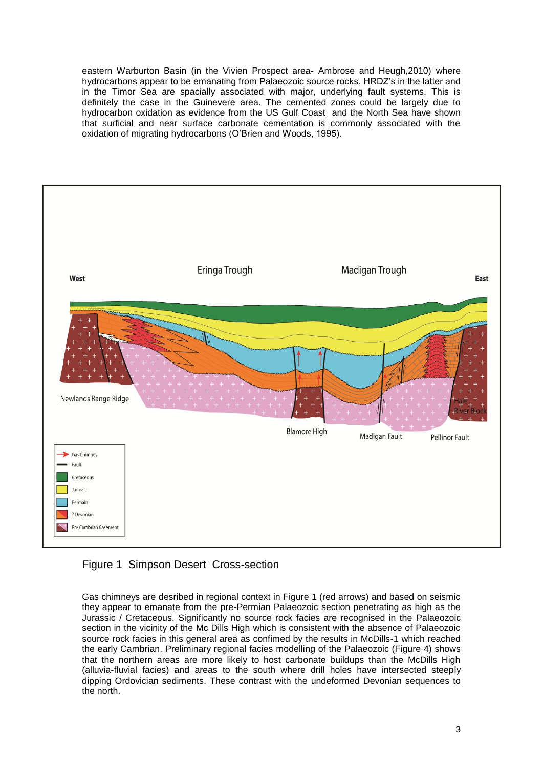eastern Warburton Basin (in the Vivien Prospect area- Ambrose and Heugh,2010) where hydrocarbons appear to be emanating from Palaeozoic source rocks. HRDZ's in the latter and in the Timor Sea are spacially associated with major, underlying fault systems. This is definitely the case in the Guinevere area. The cemented zones could be largely due to hydrocarbon oxidation as evidence from the US Gulf Coast and the North Sea have shown that surficial and near surface carbonate cementation is commonly associated with the oxidation of migrating hydrocarbons (O'Brien and Woods, 1995).



Figure 1 Simpson Desert Cross-section

Gas chimneys are desribed in regional context in Figure 1 (red arrows) and based on seismic they appear to emanate from the pre-Permian Palaeozoic section penetrating as high as the Jurassic / Cretaceous. Significantly no source rock facies are recognised in the Palaeozoic section in the vicinity of the Mc Dills High which is consistent with the absence of Palaeozoic source rock facies in this general area as confimed by the results in McDills-1 which reached the early Cambrian. Preliminary regional facies modelling of the Palaeozoic (Figure 4) shows that the northern areas are more likely to host carbonate buildups than the McDills High (alluvia-fluvial facies) and areas to the south where drill holes have intersected steeply dipping Ordovician sediments. These contrast with the undeformed Devonian sequences to the north.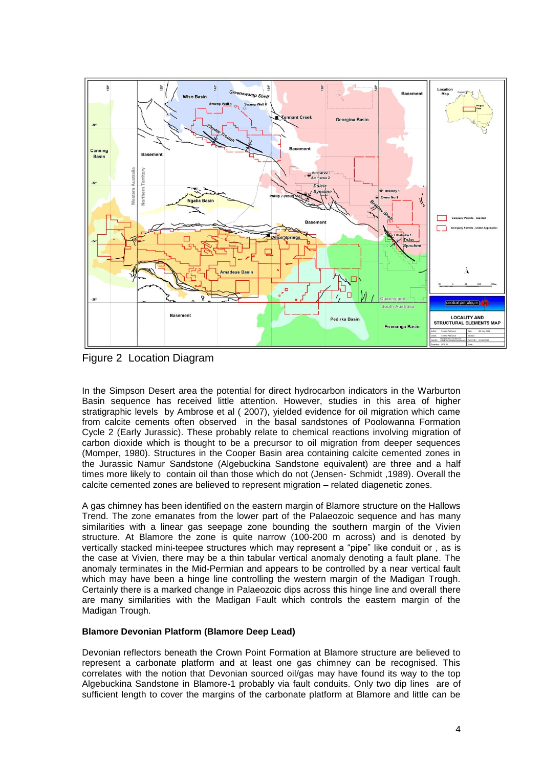

Figure 2 Location Diagram

In the Simpson Desert area the potential for direct hydrocarbon indicators in the Warburton Basin sequence has received little attention. However, studies in this area of higher stratigraphic levels by Ambrose et al ( 2007), yielded evidence for oil migration which came from calcite cements often observed in the basal sandstones of Poolowanna Formation Cycle 2 (Early Jurassic). These probably relate to chemical reactions involving migration of carbon dioxide which is thought to be a precursor to oil migration from deeper sequences (Momper, 1980). Structures in the Cooper Basin area containing calcite cemented zones in the Jurassic Namur Sandstone (Algebuckina Sandstone equivalent) are three and a half times more likely to contain oil than those which do not (Jensen- Schmidt ,1989). Overall the calcite cemented zones are believed to represent migration – related diagenetic zones.

A gas chimney has been identified on the eastern margin of Blamore structure on the Hallows Trend. The zone emanates from the lower part of the Palaeozoic sequence and has many similarities with a linear gas seepage zone bounding the southern margin of the Vivien structure. At Blamore the zone is quite narrow (100-200 m across) and is denoted by vertically stacked mini-teepee structures which may represent a "pipe" like conduit or , as is the case at Vivien, there may be a thin tabular vertical anomaly denoting a fault plane. The anomaly terminates in the Mid-Permian and appears to be controlled by a near vertical fault which may have been a hinge line controlling the western margin of the Madigan Trough. Certainly there is a marked change in Palaeozoic dips across this hinge line and overall there are many similarities with the Madigan Fault which controls the eastern margin of the Madigan Trough.

#### **Blamore Devonian Platform (Blamore Deep Lead)**

Devonian reflectors beneath the Crown Point Formation at Blamore structure are believed to represent a carbonate platform and at least one gas chimney can be recognised. This correlates with the notion that Devonian sourced oil/gas may have found its way to the top Algebuckina Sandstone in Blamore-1 probably via fault conduits. Only two dip lines are of sufficient length to cover the margins of the carbonate platform at Blamore and little can be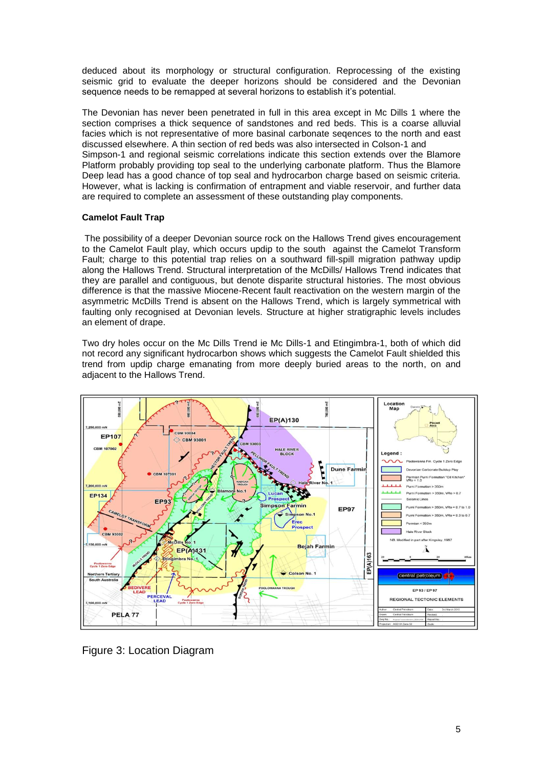deduced about its morphology or structural configuration. Reprocessing of the existing seismic grid to evaluate the deeper horizons should be considered and the Devonian sequence needs to be remapped at several horizons to establish it's potential.

The Devonian has never been penetrated in full in this area except in Mc Dills 1 where the section comprises a thick sequence of sandstones and red beds. This is a coarse alluvial facies which is not representative of more basinal carbonate seqences to the north and east discussed elsewhere. A thin section of red beds was also intersected in Colson-1 and Simpson-1 and regional seismic correlations indicate this section extends over the Blamore Platform probably providing top seal to the underlying carbonate platform. Thus the Blamore Deep lead has a good chance of top seal and hydrocarbon charge based on seismic criteria. However, what is lacking is confirmation of entrapment and viable reservoir, and further data are required to complete an assessment of these outstanding play components.

#### **Camelot Fault Trap**

The possibility of a deeper Devonian source rock on the Hallows Trend gives encouragement to the Camelot Fault play, which occurs updip to the south against the Camelot Transform Fault; charge to this potential trap relies on a southward fill-spill migration pathway updip along the Hallows Trend. Structural interpretation of the McDills/ Hallows Trend indicates that they are parallel and contiguous, but denote disparite structural histories. The most obvious difference is that the massive Miocene-Recent fault reactivation on the western margin of the asymmetric McDills Trend is absent on the Hallows Trend, which is largely symmetrical with faulting only recognised at Devonian levels. Structure at higher stratigraphic levels includes an element of drape.

Two dry holes occur on the Mc Dills Trend ie Mc Dills-1 and Etingimbra-1, both of which did not record any significant hydrocarbon shows which suggests the Camelot Fault shielded this trend from updip charge emanating from more deeply buried areas to the north, on and adjacent to the Hallows Trend.



Figure 3: Location Diagram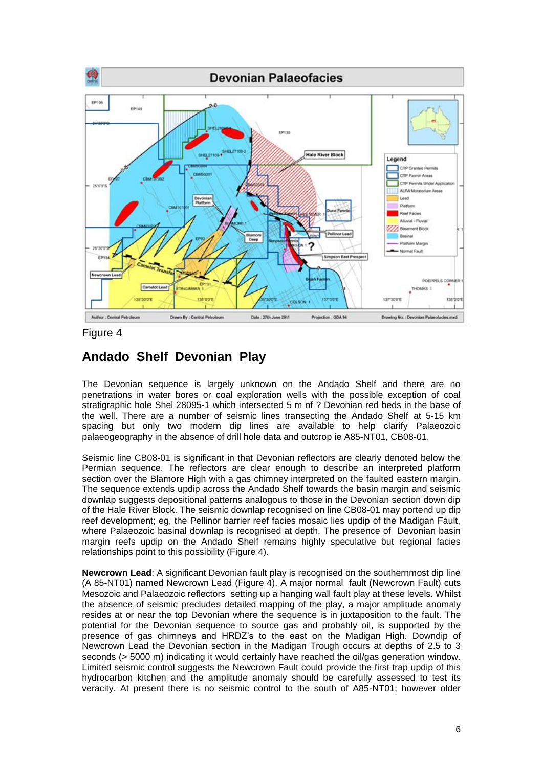

Figure 4

# **Andado Shelf Devonian Play**

The Devonian sequence is largely unknown on the Andado Shelf and there are no penetrations in water bores or coal exploration wells with the possible exception of coal stratigraphic hole Shel 28095-1 which intersected 5 m of ? Devonian red beds in the base of the well. There are a number of seismic lines transecting the Andado Shelf at 5-15 km spacing but only two modern dip lines are available to help clarify Palaeozoic palaeogeography in the absence of drill hole data and outcrop ie A85-NT01, CB08-01.

Seismic line CB08-01 is significant in that Devonian reflectors are clearly denoted below the Permian sequence. The reflectors are clear enough to describe an interpreted platform section over the Blamore High with a gas chimney interpreted on the faulted eastern margin. The sequence extends updip across the Andado Shelf towards the basin margin and seismic downlap suggests depositional patterns analogous to those in the Devonian section down dip of the Hale River Block. The seismic downlap recognised on line CB08-01 may portend up dip reef development; eg, the Pellinor barrier reef facies mosaic lies updip of the Madigan Fault, where Palaeozoic basinal downlap is recognised at depth. The presence of Devonian basin margin reefs updip on the Andado Shelf remains highly speculative but regional facies relationships point to this possibility (Figure 4).

**Newcrown Lead**: A significant Devonian fault play is recognised on the southernmost dip line (A 85-NT01) named Newcrown Lead (Figure 4). A major normal fault (Newcrown Fault) cuts Mesozoic and Palaeozoic reflectors setting up a hanging wall fault play at these levels. Whilst the absence of seismic precludes detailed mapping of the play, a major amplitude anomaly resides at or near the top Devonian where the sequence is in juxtaposition to the fault. The potential for the Devonian sequence to source gas and probably oil, is supported by the presence of gas chimneys and HRDZ's to the east on the Madigan High. Downdip of Newcrown Lead the Devonian section in the Madigan Trough occurs at depths of 2.5 to 3 seconds (> 5000 m) indicating it would certainly have reached the oil/gas generation window. Limited seismic control suggests the Newcrown Fault could provide the first trap updip of this hydrocarbon kitchen and the amplitude anomaly should be carefully assessed to test its veracity. At present there is no seismic control to the south of A85-NT01; however older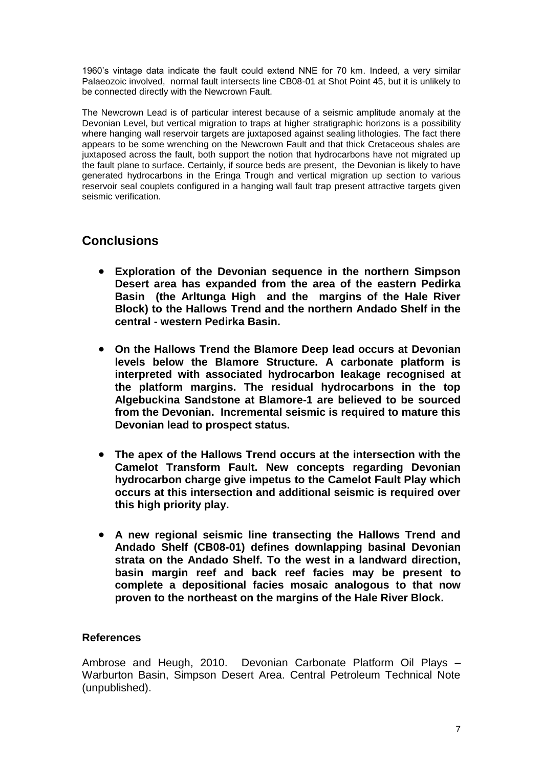1960's vintage data indicate the fault could extend NNE for 70 km. Indeed, a very similar Palaeozoic involved, normal fault intersects line CB08-01 at Shot Point 45, but it is unlikely to be connected directly with the Newcrown Fault.

The Newcrown Lead is of particular interest because of a seismic amplitude anomaly at the Devonian Level, but vertical migration to traps at higher stratigraphic horizons is a possibility where hanging wall reservoir targets are juxtaposed against sealing lithologies. The fact there appears to be some wrenching on the Newcrown Fault and that thick Cretaceous shales are juxtaposed across the fault, both support the notion that hydrocarbons have not migrated up the fault plane to surface. Certainly, if source beds are present, the Devonian is likely to have generated hydrocarbons in the Eringa Trough and vertical migration up section to various reservoir seal couplets configured in a hanging wall fault trap present attractive targets given seismic verification.

# **Conclusions**

- **Exploration of the Devonian sequence in the northern Simpson Desert area has expanded from the area of the eastern Pedirka Basin (the Arltunga High and the margins of the Hale River Block) to the Hallows Trend and the northern Andado Shelf in the central - western Pedirka Basin.**
- **On the Hallows Trend the Blamore Deep lead occurs at Devonian levels below the Blamore Structure. A carbonate platform is interpreted with associated hydrocarbon leakage recognised at the platform margins. The residual hydrocarbons in the top Algebuckina Sandstone at Blamore-1 are believed to be sourced from the Devonian. Incremental seismic is required to mature this Devonian lead to prospect status.**
- **The apex of the Hallows Trend occurs at the intersection with the Camelot Transform Fault. New concepts regarding Devonian hydrocarbon charge give impetus to the Camelot Fault Play which occurs at this intersection and additional seismic is required over this high priority play.**
- **A new regional seismic line transecting the Hallows Trend and Andado Shelf (CB08-01) defines downlapping basinal Devonian strata on the Andado Shelf. To the west in a landward direction, basin margin reef and back reef facies may be present to complete a depositional facies mosaic analogous to that now proven to the northeast on the margins of the Hale River Block.**

## **References**

Ambrose and Heugh, 2010. Devonian Carbonate Platform Oil Plays – Warburton Basin, Simpson Desert Area. Central Petroleum Technical Note (unpublished).